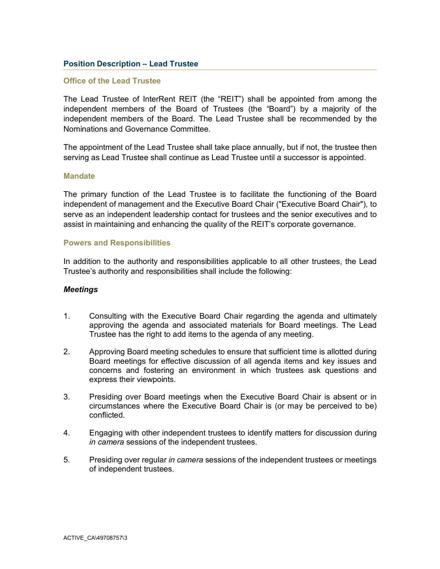# **Position Description – Lead Trustee**

### **Office of the Lead Trustee**

The Lead Trustee of InterRent REIT (the "REIT") shall be appointed from among the independent members of the Board of Trustees (the "Board") by a majority of the independent members of the Board. The Lead Trustee shall be recommended by the Nominations and Governance Committee.

The appointment of the Lead Trustee shall take place annually, but if not, the trustee then serving as Lead Trustee shall continue as Lead Trustee until a successor is appointed.

#### **Mandate**

The primary function of the Lead Trustee is to facilitate the functioning of the Board independent of management and the Executive Board Chair ("Executive Board Chair"), to serve as an independent leadership contact for trustees and the senior executives and to assist in maintaining and enhancing the quality of the REIT's corporate governance.

#### **Powers and Responsibilities**

In addition to the authority and responsibilities applicable to all other trustees, the Lead Trustee's authority and responsibilities shall include the following:

#### *Meetings*

- 1. Consulting with the Executive Board Chair regarding the agenda and ultimately approving the agenda and associated materials for Board meetings. The Lead Trustee has the right to add items to the agenda of any meeting.
- 2. Approving Board meeting schedules to ensure that sufficient time is allotted during Board meetings for effective discussion of all agenda items and key issues and concerns and fostering an environment in which trustees ask questions and express their viewpoints.
- 3. Presiding over Board meetings when the Executive Board Chair is absent or in circumstances where the Executive Board Chair is (or may be perceived to be) conflicted.
- 4. Engaging with other independent trustees to identify matters for discussion during *in camera* sessions of the independent trustees.
- 5. Presiding over regular *in camera* sessions of the independent trustees or meetings of independent trustees.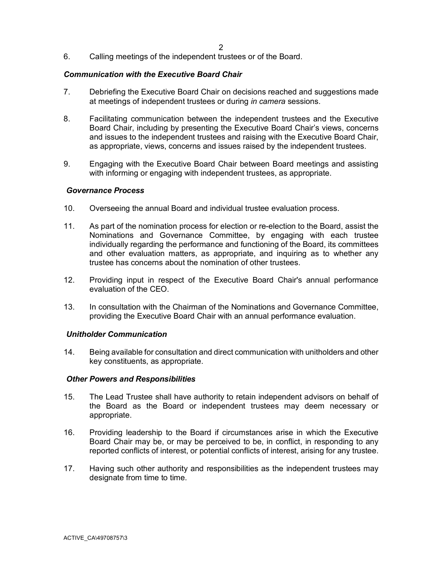6. Calling meetings of the independent trustees or of the Board.

# *Communication with the Executive Board Chair*

- 7. Debriefing the Executive Board Chair on decisions reached and suggestions made at meetings of independent trustees or during *in camera* sessions.
- 8. Facilitating communication between the independent trustees and the Executive Board Chair, including by presenting the Executive Board Chair's views, concerns and issues to the independent trustees and raising with the Executive Board Chair, as appropriate, views, concerns and issues raised by the independent trustees.
- 9. Engaging with the Executive Board Chair between Board meetings and assisting with informing or engaging with independent trustees, as appropriate.

#### *Governance Process*

- 10. Overseeing the annual Board and individual trustee evaluation process.
- 11. As part of the nomination process for election or re-election to the Board, assist the Nominations and Governance Committee, by engaging with each trustee individually regarding the performance and functioning of the Board, its committees and other evaluation matters, as appropriate, and inquiring as to whether any trustee has concerns about the nomination of other trustees.
- 12. Providing input in respect of the Executive Board Chair's annual performance evaluation of the CEO.
- 13. In consultation with the Chairman of the Nominations and Governance Committee, providing the Executive Board Chair with an annual performance evaluation.

## *Unitholder Communication*

14. Being available for consultation and direct communication with unitholders and other key constituents, as appropriate.

## *Other Powers and Responsibilities*

- 15. The Lead Trustee shall have authority to retain independent advisors on behalf of the Board as the Board or independent trustees may deem necessary or appropriate.
- 16. Providing leadership to the Board if circumstances arise in which the Executive Board Chair may be, or may be perceived to be, in conflict, in responding to any reported conflicts of interest, or potential conflicts of interest, arising for any trustee.
- 17. Having such other authority and responsibilities as the independent trustees may designate from time to time.